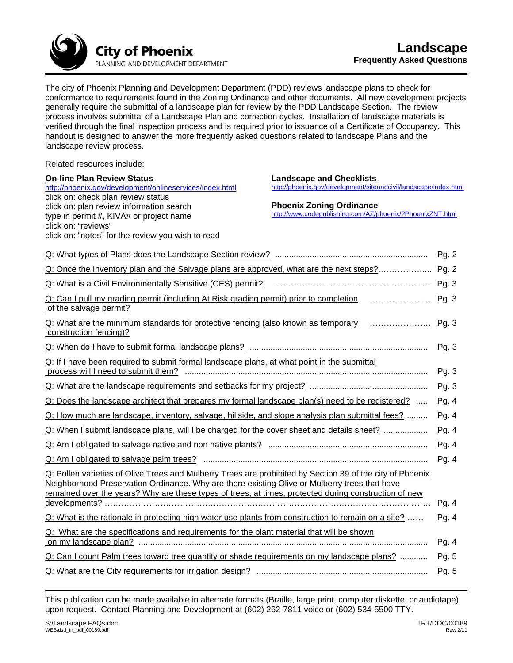

The city of Phoenix Planning and Development Department (PDD) reviews landscape plans to check for conformance to requirements found in the Zoning Ordinance and other documents. All new development projects generally require the submittal of a landscape plan for review by the PDD Landscape Section. The review process involves submittal of a Landscape Plan and correction cycles. Installation of landscape materials is verified through the final inspection process and is required prior to issuance of a Certificate of Occupancy. This handout is designed to answer the more frequently asked questions related to landscape Plans and the landscape review process.

Related resources include:

| <b>On-line Plan Review Status</b>                                                                         | <b>Landscape and Checklists</b>                                                              |         |
|-----------------------------------------------------------------------------------------------------------|----------------------------------------------------------------------------------------------|---------|
| http://phoenix.gov/development/onlineservices/index.html                                                  | http://phoenix.gov/development/siteandcivil/landscape/index.html                             |         |
| click on: check plan review status                                                                        |                                                                                              |         |
| click on: plan review information search                                                                  | <b>Phoenix Zoning Ordinance</b><br>http://www.codepublishing.com/AZ/phoenix/?PhoenixZNT.html |         |
| type in permit #, KIVA# or project name<br>click on: "reviews"                                            |                                                                                              |         |
| click on: "notes" for the review you wish to read                                                         |                                                                                              |         |
|                                                                                                           |                                                                                              |         |
|                                                                                                           |                                                                                              | Pg. 2   |
| Q: Once the Inventory plan and the Salvage plans are approved, what are the next steps?                   |                                                                                              | Pg. 2   |
|                                                                                                           |                                                                                              | Pg. 3   |
| Q: Can I pull my grading permit (including At Risk grading permit) prior to completion <i></i>            |                                                                                              | Pg. 3   |
| of the salvage permit?                                                                                    |                                                                                              |         |
| Q: What are the minimum standards for protective fencing (also known as temporary                         |                                                                                              | Pg. 3   |
| construction fencing)?                                                                                    |                                                                                              |         |
|                                                                                                           |                                                                                              | Pg.3    |
| Q: If I have been required to submit formal landscape plans, at what point in the submittal               |                                                                                              |         |
|                                                                                                           |                                                                                              | Pg. 3   |
|                                                                                                           |                                                                                              | Pg. 3   |
| Q: Does the landscape architect that prepares my formal landscape plan(s) need to be registered?          |                                                                                              | Pg. 4   |
| Q: How much are landscape, inventory, salvage, hillside, and slope analysis plan submittal fees?          |                                                                                              | Pg. 4   |
| Q: When I submit landscape plans, will I be charged for the cover sheet and details sheet?                |                                                                                              | Pg. 4   |
|                                                                                                           |                                                                                              | Pg. 4   |
|                                                                                                           |                                                                                              | Pg. $4$ |
| Q: Pollen varieties of Olive Trees and Mulberry Trees are prohibited by Section 39 of the city of Phoenix |                                                                                              |         |
| Neighborhood Preservation Ordinance. Why are there existing Olive or Mulberry trees that have             |                                                                                              |         |
| remained over the years? Why are these types of trees, at times, protected during construction of new     |                                                                                              |         |
|                                                                                                           |                                                                                              | Pg. 4   |
| Q: What is the rationale in protecting high water use plants from construction to remain on a site?       |                                                                                              | Pg. 4   |
| Q: What are the specifications and requirements for the plant material that will be shown                 |                                                                                              |         |
|                                                                                                           |                                                                                              | Pg. 4   |
| Q: Can I count Palm trees toward tree quantity or shade requirements on my landscape plans?               |                                                                                              | Pg. 5   |
|                                                                                                           |                                                                                              | Pg. 5   |

This publication can be made available in alternate formats (Braille, large print, computer diskette, or audiotape) upon request. Contact Planning and Development at (602) 262-7811 voice or (602) 534-5500 TTY.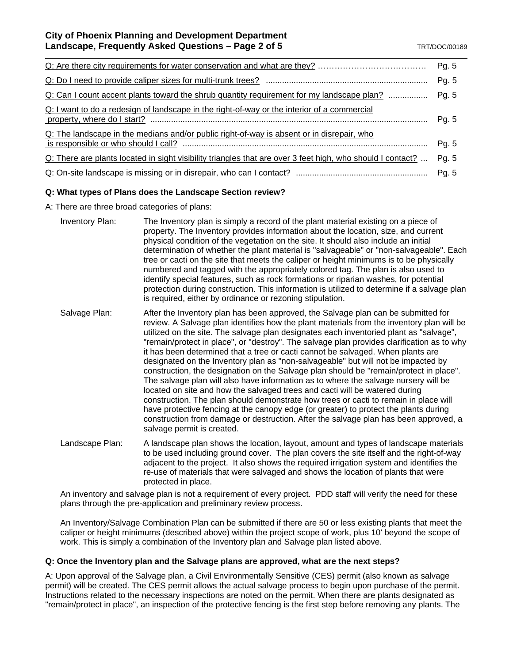|                                                                                                            | Pg. 5 |
|------------------------------------------------------------------------------------------------------------|-------|
| Q: Can I count accent plants toward the shrub quantity requirement for my landscape plan?                  | Pg. 5 |
| Q: I want to do a redesign of landscape in the right-of-way or the interior of a commercial                |       |
| Q: The landscape in the medians and/or public right-of-way is absent or in disrepair, who                  |       |
| Q: There are plants located in sight visibility triangles that are over 3 feet high, who should I contact? |       |
|                                                                                                            |       |

# **Q: What types of Plans does the Landscape Section review?**

A: There are three broad categories of plans:

- Inventory Plan: The Inventory plan is simply a record of the plant material existing on a piece of property. The Inventory provides information about the location, size, and current physical condition of the vegetation on the site. It should also include an initial determination of whether the plant material is "salvageable" or "non-salvageable". Each tree or cacti on the site that meets the caliper or height minimums is to be physically numbered and tagged with the appropriately colored tag. The plan is also used to identify special features, such as rock formations or riparian washes, for potential protection during construction. This information is utilized to determine if a salvage plan is required, either by ordinance or rezoning stipulation.
- Salvage Plan: After the Inventory plan has been approved, the Salvage plan can be submitted for review. A Salvage plan identifies how the plant materials from the inventory plan will be utilized on the site. The salvage plan designates each inventoried plant as "salvage", "remain/protect in place", or "destroy". The salvage plan provides clarification as to why it has been determined that a tree or cacti cannot be salvaged. When plants are designated on the Inventory plan as "non-salvageable" but will not be impacted by construction, the designation on the Salvage plan should be "remain/protect in place". The salvage plan will also have information as to where the salvage nursery will be located on site and how the salvaged trees and cacti will be watered during construction. The plan should demonstrate how trees or cacti to remain in place will have protective fencing at the canopy edge (or greater) to protect the plants during construction from damage or destruction. After the salvage plan has been approved, a salvage permit is created.
- Landscape Plan: A landscape plan shows the location, layout, amount and types of landscape materials to be used including ground cover. The plan covers the site itself and the right-of-way adjacent to the project. It also shows the required irrigation system and identifies the re-use of materials that were salvaged and shows the location of plants that were protected in place.

An inventory and salvage plan is not a requirement of every project. PDD staff will verify the need for these plans through the pre-application and preliminary review process.

An Inventory/Salvage Combination Plan can be submitted if there are 50 or less existing plants that meet the caliper or height minimums (described above) within the project scope of work, plus 10' beyond the scope of work. This is simply a combination of the Inventory plan and Salvage plan listed above.

# **Q: Once the Inventory plan and the Salvage plans are approved, what are the next steps?**

A: Upon approval of the Salvage plan, a Civil Environmentally Sensitive (CES) permit (also known as salvage permit) will be created. The CES permit allows the actual salvage process to begin upon purchase of the permit. Instructions related to the necessary inspections are noted on the permit. When there are plants designated as "remain/protect in place", an inspection of the protective fencing is the first step before removing any plants. The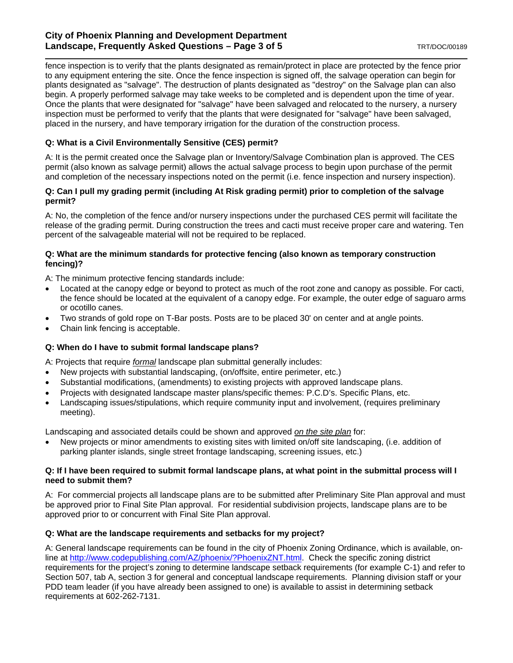# **City of Phoenix Planning and Development Department Landscape, Frequently Asked Questions – Page 3 of 5 <b>TRT/DOC/00189** TRT/DOC/00189

fence inspection is to verify that the plants designated as remain/protect in place are protected by the fence prior to any equipment entering the site. Once the fence inspection is signed off, the salvage operation can begin for plants designated as "salvage". The destruction of plants designated as "destroy" on the Salvage plan can also begin. A properly performed salvage may take weeks to be completed and is dependent upon the time of year. Once the plants that were designated for "salvage" have been salvaged and relocated to the nursery, a nursery inspection must be performed to verify that the plants that were designated for "salvage" have been salvaged, placed in the nursery, and have temporary irrigation for the duration of the construction process.

# **Q: What is a Civil Environmentally Sensitive (CES) permit?**

A: It is the permit created once the Salvage plan or Inventory/Salvage Combination plan is approved. The CES permit (also known as salvage permit) allows the actual salvage process to begin upon purchase of the permit and completion of the necessary inspections noted on the permit (i.e. fence inspection and nursery inspection).

## **Q: Can I pull my grading permit (including At Risk grading permit) prior to completion of the salvage permit?**

A: No, the completion of the fence and/or nursery inspections under the purchased CES permit will facilitate the release of the grading permit. During construction the trees and cacti must receive proper care and watering. Ten percent of the salvageable material will not be required to be replaced.

## **Q: What are the minimum standards for protective fencing (also known as temporary construction fencing)?**

A: The minimum protective fencing standards include:

- Located at the canopy edge or beyond to protect as much of the root zone and canopy as possible. For cacti, the fence should be located at the equivalent of a canopy edge. For example, the outer edge of saguaro arms or ocotillo canes.
- Two strands of gold rope on T-Bar posts. Posts are to be placed 30' on center and at angle points.
- Chain link fencing is acceptable.

# **Q: When do I have to submit formal landscape plans?**

A: Projects that require *formal* landscape plan submittal generally includes:

- New projects with substantial landscaping, (on/offsite, entire perimeter, etc.)
- Substantial modifications, (amendments) to existing projects with approved landscape plans.
- Projects with designated landscape master plans/specific themes: P.C.D's. Specific Plans, etc.
- Landscaping issues/stipulations, which require community input and involvement, (requires preliminary meeting).

Landscaping and associated details could be shown and approved *on the site plan* for:

New projects or minor amendments to existing sites with limited on/off site landscaping, (i.e. addition of parking planter islands, single street frontage landscaping, screening issues, etc.)

#### **Q: If I have been required to submit formal landscape plans, at what point in the submittal process will I need to submit them?**

A: For commercial projects all landscape plans are to be submitted after Preliminary Site Plan approval and must be approved prior to Final Site Plan approval. For residential subdivision projects, landscape plans are to be approved prior to or concurrent with Final Site Plan approval.

# **Q: What are the landscape requirements and setbacks for my project?**

A: General landscape requirements can be found in the city of Phoenix Zoning Ordinance, which is available, online at http://www.codepublishing.com/AZ/phoenix/?PhoenixZNT.html. Check the specific zoning district requirements for the project's zoning to determine landscape setback requirements (for example C-1) and refer to Section 507, tab A, section 3 for general and conceptual landscape requirements. Planning division staff or your PDD team leader (if you have already been assigned to one) is available to assist in determining setback requirements at 602-262-7131.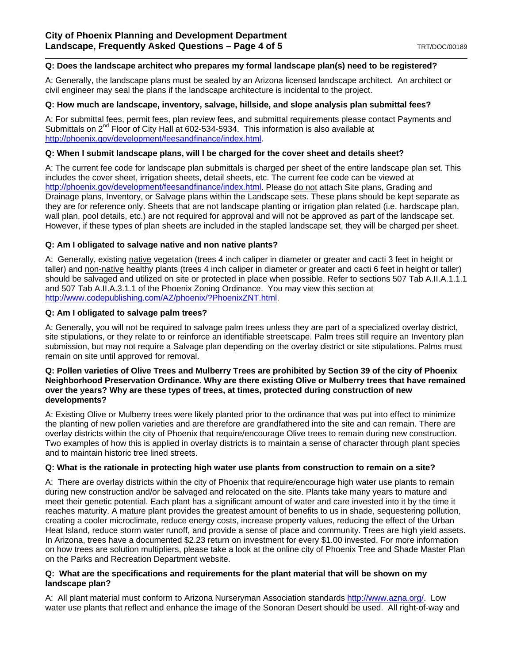#### **Q: Does the landscape architect who prepares my formal landscape plan(s) need to be registered?**

A: Generally, the landscape plans must be sealed by an Arizona licensed landscape architect. An architect or civil engineer may seal the plans if the landscape architecture is incidental to the project.

#### **Q: How much are landscape, inventory, salvage, hillside, and slope analysis plan submittal fees?**

A: For submittal fees, permit fees, plan review fees, and submittal requirements please contact Payments and Submittals on  $2^{nd}$  Floor of City Hall at 602-534-5934. This information is also available at http://phoenix.gov/development/feesandfinance/index.html.

#### **Q: When I submit landscape plans, will I be charged for the cover sheet and details sheet?**

A: The current fee code for landscape plan submittals is charged per sheet of the entire landscape plan set. This includes the cover sheet, irrigation sheets, detail sheets, etc. The current fee code can be viewed at http://phoenix.gov/development/feesandfinance/index.html. Please do not attach Site plans, Grading and Drainage plans, Inventory, or Salvage plans within the Landscape sets. These plans should be kept separate as they are for reference only. Sheets that are not landscape planting or irrigation plan related (i.e. hardscape plan, wall plan, pool details, etc.) are not required for approval and will not be approved as part of the landscape set. However, if these types of plan sheets are included in the stapled landscape set, they will be charged per sheet.

#### **Q: Am I obligated to salvage native and non native plants?**

A: Generally, existing native vegetation (trees 4 inch caliper in diameter or greater and cacti 3 feet in height or taller) and non-native healthy plants (trees 4 inch caliper in diameter or greater and cacti 6 feet in height or taller) should be salvaged and utilized on site or protected in place when possible. Refer to sections 507 Tab A.II.A.1.1.1 and 507 Tab A.II.A.3.1.1 of the Phoenix Zoning Ordinance. You may view this section at http://www.codepublishing.com/AZ/phoenix/?PhoenixZNT.html.

## **Q: Am I obligated to salvage palm trees?**

A: Generally, you will not be required to salvage palm trees unless they are part of a specialized overlay district, site stipulations, or they relate to or reinforce an identifiable streetscape. Palm trees still require an Inventory plan submission, but may not require a Salvage plan depending on the overlay district or site stipulations. Palms must remain on site until approved for removal.

#### **Q: Pollen varieties of Olive Trees and Mulberry Trees are prohibited by Section 39 of the city of Phoenix Neighborhood Preservation Ordinance. Why are there existing Olive or Mulberry trees that have remained over the years? Why are these types of trees, at times, protected during construction of new developments?**

A: Existing Olive or Mulberry trees were likely planted prior to the ordinance that was put into effect to minimize the planting of new pollen varieties and are therefore are grandfathered into the site and can remain. There are overlay districts within the city of Phoenix that require/encourage Olive trees to remain during new construction. Two examples of how this is applied in overlay districts is to maintain a sense of character through plant species and to maintain historic tree lined streets.

#### **Q: What is the rationale in protecting high water use plants from construction to remain on a site?**

A: There are overlay districts within the city of Phoenix that require/encourage high water use plants to remain during new construction and/or be salvaged and relocated on the site. Plants take many years to mature and meet their genetic potential. Each plant has a significant amount of water and care invested into it by the time it reaches maturity. A mature plant provides the greatest amount of benefits to us in shade, sequestering pollution, creating a cooler microclimate, reduce energy costs, increase property values, reducing the effect of the Urban Heat Island, reduce storm water runoff, and provide a sense of place and community. Trees are high yield assets. In Arizona, trees have a documented \$2.23 return on investment for every \$1.00 invested. For more information on how trees are solution multipliers, please take a look at the online city of Phoenix Tree and Shade Master Plan on the Parks and Recreation Department website.

#### **Q: What are the specifications and requirements for the plant material that will be shown on my landscape plan?**

A: All plant material must conform to Arizona Nurseryman Association standards http://www.azna.org/. Low water use plants that reflect and enhance the image of the Sonoran Desert should be used. All right-of-way and